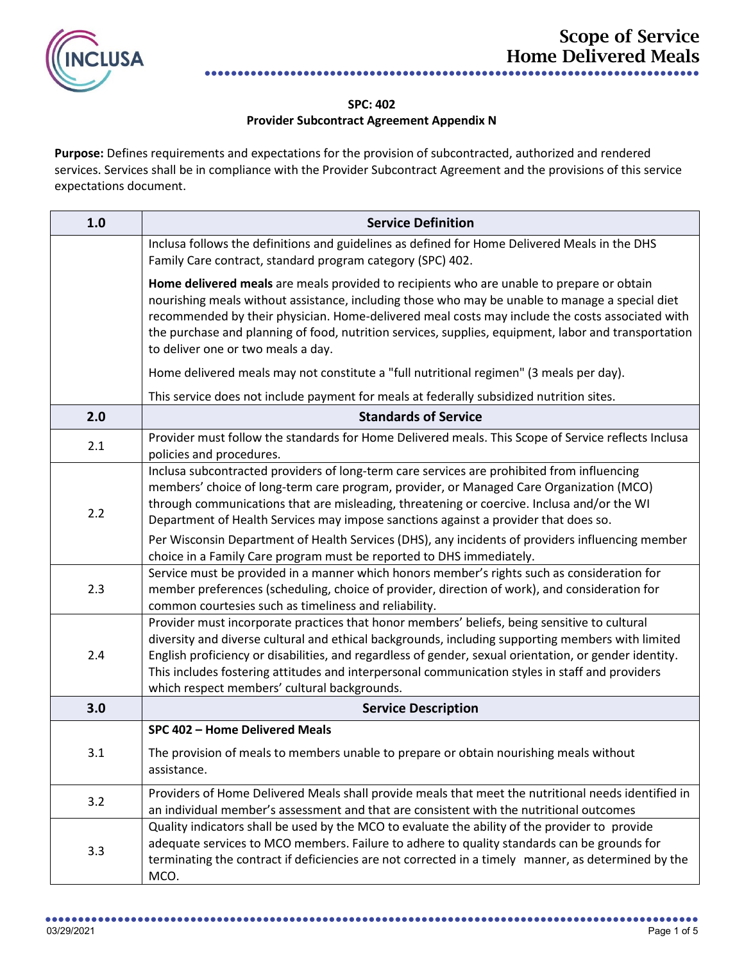

## **SPC: 402 Provider Subcontract Agreement Appendix N**

Purpose: Defines requirements and expectations for the provision of subcontracted, authorized and rendered services. Services shall be in compliance with the Provider Subcontract Agreement and the provisions of this service expectations document.

| 1.0 | <b>Service Definition</b>                                                                                                                                                                                                                                                                                                                                                                                                                                      |
|-----|----------------------------------------------------------------------------------------------------------------------------------------------------------------------------------------------------------------------------------------------------------------------------------------------------------------------------------------------------------------------------------------------------------------------------------------------------------------|
|     | Inclusa follows the definitions and guidelines as defined for Home Delivered Meals in the DHS<br>Family Care contract, standard program category (SPC) 402.                                                                                                                                                                                                                                                                                                    |
|     | Home delivered meals are meals provided to recipients who are unable to prepare or obtain<br>nourishing meals without assistance, including those who may be unable to manage a special diet<br>recommended by their physician. Home-delivered meal costs may include the costs associated with<br>the purchase and planning of food, nutrition services, supplies, equipment, labor and transportation<br>to deliver one or two meals a day.                  |
|     | Home delivered meals may not constitute a "full nutritional regimen" (3 meals per day).                                                                                                                                                                                                                                                                                                                                                                        |
|     | This service does not include payment for meals at federally subsidized nutrition sites.                                                                                                                                                                                                                                                                                                                                                                       |
| 2.0 | <b>Standards of Service</b>                                                                                                                                                                                                                                                                                                                                                                                                                                    |
| 2.1 | Provider must follow the standards for Home Delivered meals. This Scope of Service reflects Inclusa<br>policies and procedures.                                                                                                                                                                                                                                                                                                                                |
| 2.2 | Inclusa subcontracted providers of long-term care services are prohibited from influencing<br>members' choice of long-term care program, provider, or Managed Care Organization (MCO)<br>through communications that are misleading, threatening or coercive. Inclusa and/or the WI<br>Department of Health Services may impose sanctions against a provider that does so.                                                                                     |
|     | Per Wisconsin Department of Health Services (DHS), any incidents of providers influencing member<br>choice in a Family Care program must be reported to DHS immediately.                                                                                                                                                                                                                                                                                       |
| 2.3 | Service must be provided in a manner which honors member's rights such as consideration for<br>member preferences (scheduling, choice of provider, direction of work), and consideration for<br>common courtesies such as timeliness and reliability.                                                                                                                                                                                                          |
| 2.4 | Provider must incorporate practices that honor members' beliefs, being sensitive to cultural<br>diversity and diverse cultural and ethical backgrounds, including supporting members with limited<br>English proficiency or disabilities, and regardless of gender, sexual orientation, or gender identity.<br>This includes fostering attitudes and interpersonal communication styles in staff and providers<br>which respect members' cultural backgrounds. |
| 3.0 | <b>Service Description</b>                                                                                                                                                                                                                                                                                                                                                                                                                                     |
|     | SPC 402 - Home Delivered Meals                                                                                                                                                                                                                                                                                                                                                                                                                                 |
| 3.1 | The provision of meals to members unable to prepare or obtain nourishing meals without<br>assistance.                                                                                                                                                                                                                                                                                                                                                          |
| 3.2 | Providers of Home Delivered Meals shall provide meals that meet the nutritional needs identified in<br>an individual member's assessment and that are consistent with the nutritional outcomes                                                                                                                                                                                                                                                                 |
| 3.3 | Quality indicators shall be used by the MCO to evaluate the ability of the provider to provide<br>adequate services to MCO members. Failure to adhere to quality standards can be grounds for<br>terminating the contract if deficiencies are not corrected in a timely manner, as determined by the<br>MCO.                                                                                                                                                   |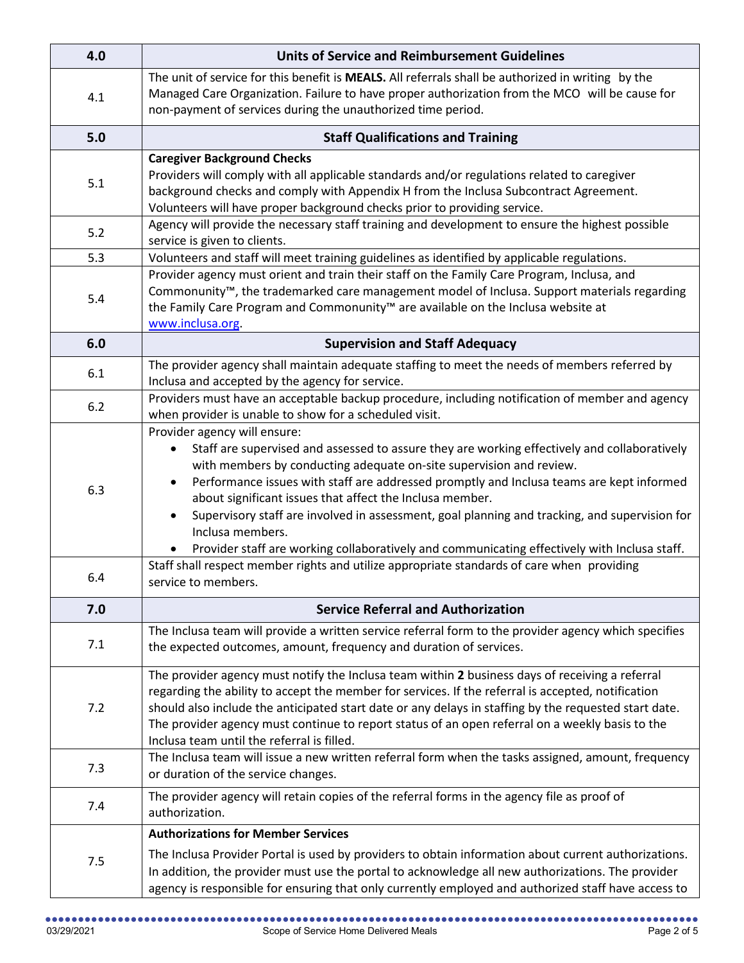| 4.0   | <b>Units of Service and Reimbursement Guidelines</b>                                                                                                                                                                                                                                                                                                                                                                                                                                                                                                                                          |
|-------|-----------------------------------------------------------------------------------------------------------------------------------------------------------------------------------------------------------------------------------------------------------------------------------------------------------------------------------------------------------------------------------------------------------------------------------------------------------------------------------------------------------------------------------------------------------------------------------------------|
| 4.1   | The unit of service for this benefit is MEALS. All referrals shall be authorized in writing by the<br>Managed Care Organization. Failure to have proper authorization from the MCO will be cause for<br>non-payment of services during the unauthorized time period.                                                                                                                                                                                                                                                                                                                          |
| 5.0   | <b>Staff Qualifications and Training</b>                                                                                                                                                                                                                                                                                                                                                                                                                                                                                                                                                      |
| 5.1   | <b>Caregiver Background Checks</b><br>Providers will comply with all applicable standards and/or regulations related to caregiver<br>background checks and comply with Appendix H from the Inclusa Subcontract Agreement.<br>Volunteers will have proper background checks prior to providing service.                                                                                                                                                                                                                                                                                        |
| 5.2   | Agency will provide the necessary staff training and development to ensure the highest possible<br>service is given to clients.                                                                                                                                                                                                                                                                                                                                                                                                                                                               |
| 5.3   | Volunteers and staff will meet training guidelines as identified by applicable regulations.                                                                                                                                                                                                                                                                                                                                                                                                                                                                                                   |
| 5.4   | Provider agency must orient and train their staff on the Family Care Program, Inclusa, and<br>Commonunity <sup>™</sup> , the trademarked care management model of Inclusa. Support materials regarding<br>the Family Care Program and Commonunity <sup>™</sup> are available on the Inclusa website at<br>www.inclusa.org                                                                                                                                                                                                                                                                     |
| 6.0   | <b>Supervision and Staff Adequacy</b>                                                                                                                                                                                                                                                                                                                                                                                                                                                                                                                                                         |
| 6.1   | The provider agency shall maintain adequate staffing to meet the needs of members referred by<br>Inclusa and accepted by the agency for service.                                                                                                                                                                                                                                                                                                                                                                                                                                              |
| $6.2$ | Providers must have an acceptable backup procedure, including notification of member and agency<br>when provider is unable to show for a scheduled visit.                                                                                                                                                                                                                                                                                                                                                                                                                                     |
| 6.3   | Provider agency will ensure:<br>Staff are supervised and assessed to assure they are working effectively and collaboratively<br>$\bullet$<br>with members by conducting adequate on-site supervision and review.<br>Performance issues with staff are addressed promptly and Inclusa teams are kept informed<br>about significant issues that affect the Inclusa member.<br>Supervisory staff are involved in assessment, goal planning and tracking, and supervision for<br>Inclusa members.<br>Provider staff are working collaboratively and communicating effectively with Inclusa staff. |
| 6.4   | Staff shall respect member rights and utilize appropriate standards of care when providing<br>service to members.                                                                                                                                                                                                                                                                                                                                                                                                                                                                             |
| 7.0   | <b>Service Referral and Authorization</b>                                                                                                                                                                                                                                                                                                                                                                                                                                                                                                                                                     |
| 7.1   | The Inclusa team will provide a written service referral form to the provider agency which specifies<br>the expected outcomes, amount, frequency and duration of services.                                                                                                                                                                                                                                                                                                                                                                                                                    |
| 7.2   | The provider agency must notify the Inclusa team within 2 business days of receiving a referral<br>regarding the ability to accept the member for services. If the referral is accepted, notification<br>should also include the anticipated start date or any delays in staffing by the requested start date.<br>The provider agency must continue to report status of an open referral on a weekly basis to the<br>Inclusa team until the referral is filled.                                                                                                                               |
| 7.3   | The Inclusa team will issue a new written referral form when the tasks assigned, amount, frequency<br>or duration of the service changes.                                                                                                                                                                                                                                                                                                                                                                                                                                                     |
| 7.4   | The provider agency will retain copies of the referral forms in the agency file as proof of<br>authorization.                                                                                                                                                                                                                                                                                                                                                                                                                                                                                 |
| 7.5   | <b>Authorizations for Member Services</b><br>The Inclusa Provider Portal is used by providers to obtain information about current authorizations.<br>In addition, the provider must use the portal to acknowledge all new authorizations. The provider<br>agency is responsible for ensuring that only currently employed and authorized staff have access to                                                                                                                                                                                                                                 |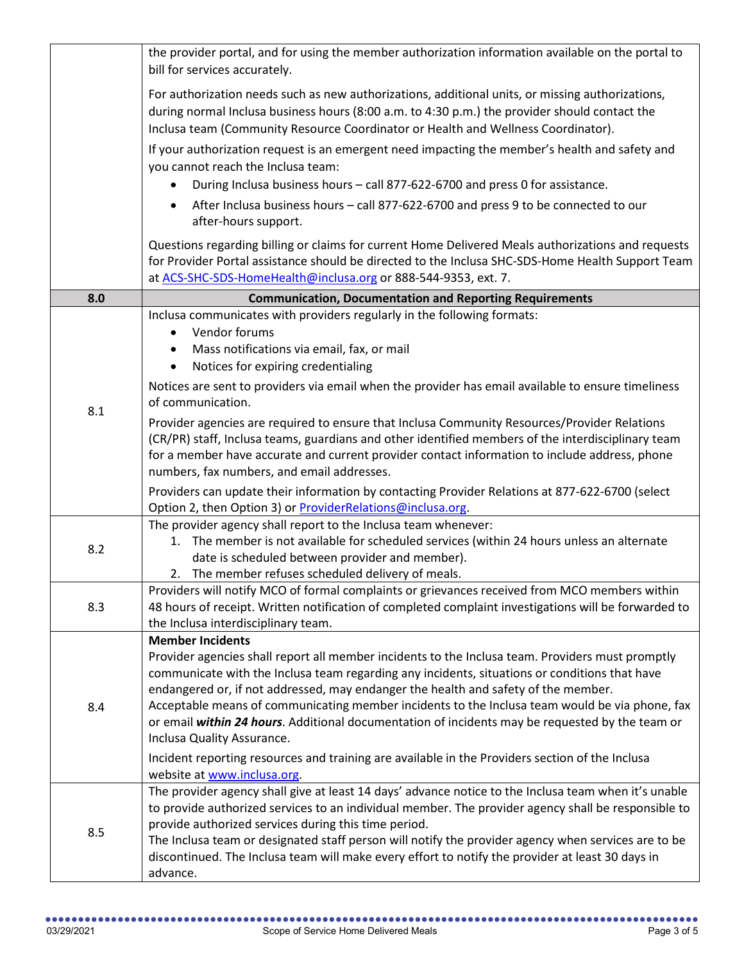|     | the provider portal, and for using the member authorization information available on the portal to<br>bill for services accurately.                                                                                                                                                                                                                                                                                                                                                                                                                   |
|-----|-------------------------------------------------------------------------------------------------------------------------------------------------------------------------------------------------------------------------------------------------------------------------------------------------------------------------------------------------------------------------------------------------------------------------------------------------------------------------------------------------------------------------------------------------------|
|     | For authorization needs such as new authorizations, additional units, or missing authorizations,<br>during normal Inclusa business hours (8:00 a.m. to 4:30 p.m.) the provider should contact the<br>Inclusa team (Community Resource Coordinator or Health and Wellness Coordinator).                                                                                                                                                                                                                                                                |
|     | If your authorization request is an emergent need impacting the member's health and safety and<br>you cannot reach the Inclusa team:<br>During Inclusa business hours - call 877-622-6700 and press 0 for assistance.                                                                                                                                                                                                                                                                                                                                 |
|     | After Inclusa business hours - call 877-622-6700 and press 9 to be connected to our<br>after-hours support.                                                                                                                                                                                                                                                                                                                                                                                                                                           |
|     | Questions regarding billing or claims for current Home Delivered Meals authorizations and requests<br>for Provider Portal assistance should be directed to the Inclusa SHC-SDS-Home Health Support Team<br>at ACS-SHC-SDS-HomeHealth@inclusa.org or 888-544-9353, ext. 7.                                                                                                                                                                                                                                                                             |
| 8.0 | <b>Communication, Documentation and Reporting Requirements</b>                                                                                                                                                                                                                                                                                                                                                                                                                                                                                        |
| 8.1 | Inclusa communicates with providers regularly in the following formats:<br>Vendor forums<br>$\bullet$<br>Mass notifications via email, fax, or mail<br>Notices for expiring credentialing<br>$\bullet$                                                                                                                                                                                                                                                                                                                                                |
|     | Notices are sent to providers via email when the provider has email available to ensure timeliness<br>of communication.                                                                                                                                                                                                                                                                                                                                                                                                                               |
|     | Provider agencies are required to ensure that Inclusa Community Resources/Provider Relations<br>(CR/PR) staff, Inclusa teams, guardians and other identified members of the interdisciplinary team<br>for a member have accurate and current provider contact information to include address, phone<br>numbers, fax numbers, and email addresses.                                                                                                                                                                                                     |
|     | Providers can update their information by contacting Provider Relations at 877-622-6700 (select<br>Option 2, then Option 3) or <b>ProviderRelations@inclusa.org</b> .                                                                                                                                                                                                                                                                                                                                                                                 |
| 8.2 | The provider agency shall report to the Inclusa team whenever:<br>1. The member is not available for scheduled services (within 24 hours unless an alternate<br>date is scheduled between provider and member).<br>2. The member refuses scheduled delivery of meals.                                                                                                                                                                                                                                                                                 |
| 8.3 | Providers will notify MCO of formal complaints or grievances received from MCO members within<br>48 hours of receipt. Written notification of completed complaint investigations will be forwarded to<br>the Inclusa interdisciplinary team.                                                                                                                                                                                                                                                                                                          |
| 8.4 | <b>Member Incidents</b><br>Provider agencies shall report all member incidents to the Inclusa team. Providers must promptly<br>communicate with the Inclusa team regarding any incidents, situations or conditions that have<br>endangered or, if not addressed, may endanger the health and safety of the member.<br>Acceptable means of communicating member incidents to the Inclusa team would be via phone, fax<br>or email within 24 hours. Additional documentation of incidents may be requested by the team or<br>Inclusa Quality Assurance. |
|     | Incident reporting resources and training are available in the Providers section of the Inclusa<br>website at www.inclusa.org.                                                                                                                                                                                                                                                                                                                                                                                                                        |
| 8.5 | The provider agency shall give at least 14 days' advance notice to the Inclusa team when it's unable<br>to provide authorized services to an individual member. The provider agency shall be responsible to<br>provide authorized services during this time period.<br>The Inclusa team or designated staff person will notify the provider agency when services are to be<br>discontinued. The Inclusa team will make every effort to notify the provider at least 30 days in<br>advance.                                                            |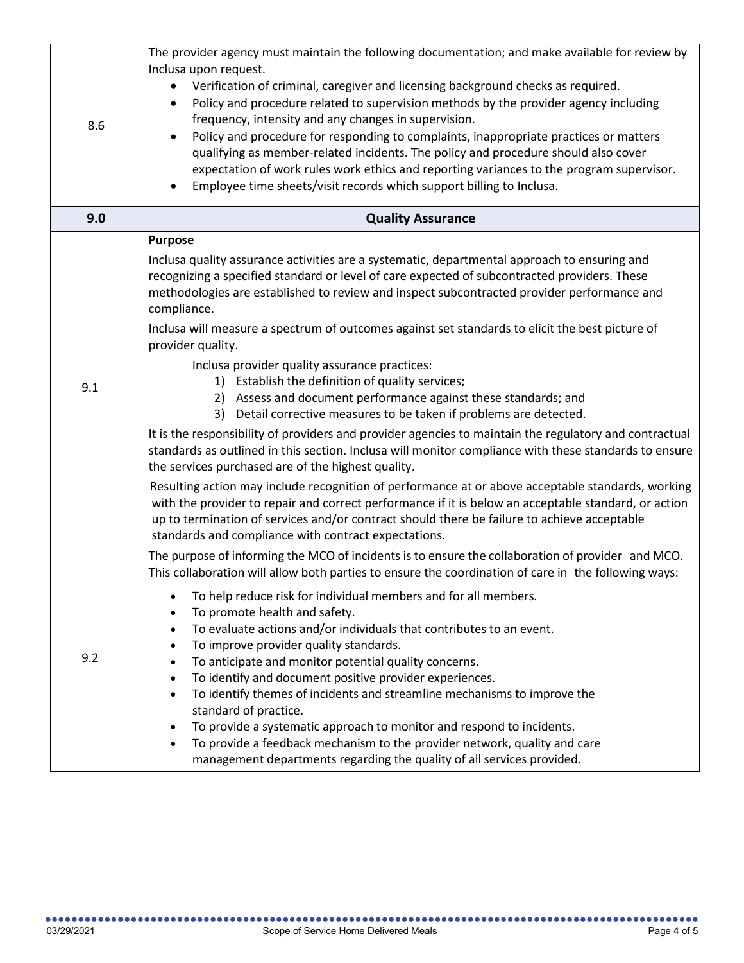| 8.6 | The provider agency must maintain the following documentation; and make available for review by<br>Inclusa upon request.<br>Verification of criminal, caregiver and licensing background checks as required.<br>Policy and procedure related to supervision methods by the provider agency including<br>$\bullet$<br>frequency, intensity and any changes in supervision.<br>Policy and procedure for responding to complaints, inappropriate practices or matters<br>qualifying as member-related incidents. The policy and procedure should also cover<br>expectation of work rules work ethics and reporting variances to the program supervisor.<br>Employee time sheets/visit records which support billing to Inclusa.                                                                                                                                                                                                                                                                                                                                                                                                                                                                                                                                                                                                                    |
|-----|-------------------------------------------------------------------------------------------------------------------------------------------------------------------------------------------------------------------------------------------------------------------------------------------------------------------------------------------------------------------------------------------------------------------------------------------------------------------------------------------------------------------------------------------------------------------------------------------------------------------------------------------------------------------------------------------------------------------------------------------------------------------------------------------------------------------------------------------------------------------------------------------------------------------------------------------------------------------------------------------------------------------------------------------------------------------------------------------------------------------------------------------------------------------------------------------------------------------------------------------------------------------------------------------------------------------------------------------------|
| 9.0 | <b>Quality Assurance</b>                                                                                                                                                                                                                                                                                                                                                                                                                                                                                                                                                                                                                                                                                                                                                                                                                                                                                                                                                                                                                                                                                                                                                                                                                                                                                                                        |
| 9.1 | <b>Purpose</b><br>Inclusa quality assurance activities are a systematic, departmental approach to ensuring and<br>recognizing a specified standard or level of care expected of subcontracted providers. These<br>methodologies are established to review and inspect subcontracted provider performance and<br>compliance.<br>Inclusa will measure a spectrum of outcomes against set standards to elicit the best picture of<br>provider quality.<br>Inclusa provider quality assurance practices:<br>1) Establish the definition of quality services;<br>2) Assess and document performance against these standards; and<br>3) Detail corrective measures to be taken if problems are detected.<br>It is the responsibility of providers and provider agencies to maintain the regulatory and contractual<br>standards as outlined in this section. Inclusa will monitor compliance with these standards to ensure<br>the services purchased are of the highest quality.<br>Resulting action may include recognition of performance at or above acceptable standards, working<br>with the provider to repair and correct performance if it is below an acceptable standard, or action<br>up to termination of services and/or contract should there be failure to achieve acceptable<br>standards and compliance with contract expectations. |
| 9.2 | The purpose of informing the MCO of incidents is to ensure the collaboration of provider and MCO.<br>This collaboration will allow both parties to ensure the coordination of care in the following ways:<br>To help reduce risk for individual members and for all members.<br>To promote health and safety.<br>To evaluate actions and/or individuals that contributes to an event.<br>$\bullet$<br>To improve provider quality standards.<br>$\bullet$<br>To anticipate and monitor potential quality concerns.<br>٠<br>To identify and document positive provider experiences.<br>$\bullet$<br>To identify themes of incidents and streamline mechanisms to improve the<br>$\bullet$<br>standard of practice.<br>To provide a systematic approach to monitor and respond to incidents.<br>To provide a feedback mechanism to the provider network, quality and care<br>management departments regarding the quality of all services provided.                                                                                                                                                                                                                                                                                                                                                                                               |